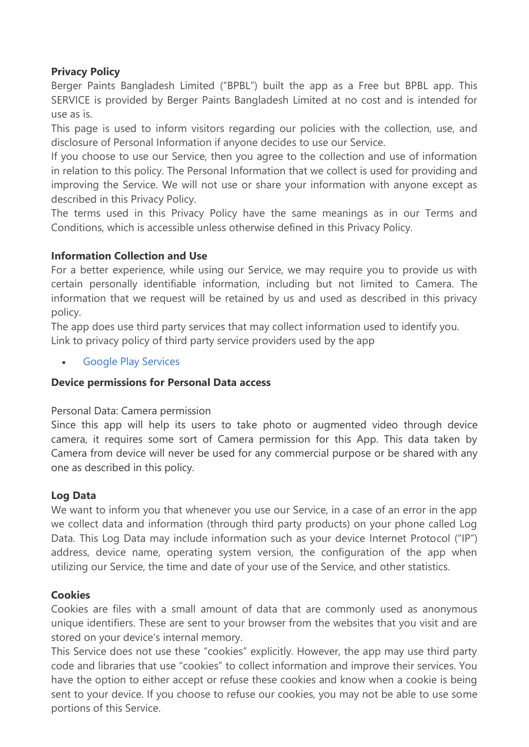# **Privacy Policy**

Berger Paints Bangladesh Limited ("BPBL") built the app as a Free but BPBL app. This SERVICE is provided by Berger Paints Bangladesh Limited at no cost and is intended for use as is.

This page is used to inform visitors regarding our policies with the collection, use, and disclosure of Personal Information if anyone decides to use our Service.

If you choose to use our Service, then you agree to the collection and use of information in relation to this policy. The Personal Information that we collect is used for providing and improving the Service. We will not use or share your information with anyone except as described in this Privacy Policy.

The terms used in this Privacy Policy have the same meanings as in our Terms and Conditions, which is accessible unless otherwise defined in this Privacy Policy.

## **Information Collection and Use**

For a better experience, while using our Service, we may require you to provide us with certain personally identifiable information, including but not limited to Camera. The information that we request will be retained by us and used as described in this privacy policy.

The app does use third party services that may collect information used to identify you. Link to privacy policy of third party service providers used by the app

[Google Play Services](https://www.google.com/policies/privacy/)

## **Device permissions for Personal Data access**

## Personal Data: Camera permission

Since this app will help its users to take photo or augmented video through device camera, it requires some sort of Camera permission for this App. This data taken by Camera from device will never be used for any commercial purpose or be shared with any one as described in this policy.

## **Log Data**

We want to inform you that whenever you use our Service, in a case of an error in the app we collect data and information (through third party products) on your phone called Log Data. This Log Data may include information such as your device Internet Protocol ("IP") address, device name, operating system version, the configuration of the app when utilizing our Service, the time and date of your use of the Service, and other statistics.

## **Cookies**

Cookies are files with a small amount of data that are commonly used as anonymous unique identifiers. These are sent to your browser from the websites that you visit and are stored on your device's internal memory.

This Service does not use these "cookies" explicitly. However, the app may use third party code and libraries that use "cookies" to collect information and improve their services. You have the option to either accept or refuse these cookies and know when a cookie is being sent to your device. If you choose to refuse our cookies, you may not be able to use some portions of this Service.